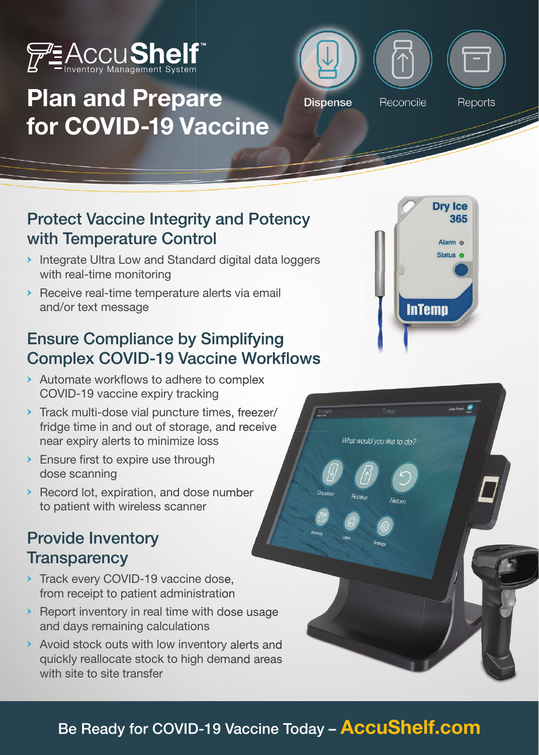

# Plan and Prepare for COVID-19 Vaccine



#### Protect Vaccine Integrity and Potency with Temperature Control

- Integrate Ultra Low and Standard digital data loggers with real-time monitoring
- Receive real-time temperature alerts via email and/or text message

# Ensure Compliance by Simplifying Complex COVID-19 Vaccine Workflows

- Automate workflows to adhere to complex COVID-19 vaccine expiry tracking
- Track multi-dose vial puncture times, freezer/ fridge time in and out of storage, and receive near expiry alerts to minimize loss Automate workflows to adhere to complex<br>COVID-19 vaccine expiry tracking<br>Track multi-dose vial puncture times, freezer/<br>fridge time in and out of storage, and receive<br>near expiry alerts to minimize loss<br>Ensure first to exp
- **Ensure first to expire use through** dose scanning
- Record lot, expiration, and dose number to patient with wireless scanner

#### Provide Inventory **Transparency**

- Track every COVID-19 vaccine dose, from receipt to patient administration
- Report inventory in real time with dose usage and days remaining calculations
- Avoid stock outs with low inventory alerts and quickly reallocate stock to high demand areas with site to site transfer



What would you like to do?

#### Be Ready for COVID-19 Vaccine Today - **AccuShelf.com**